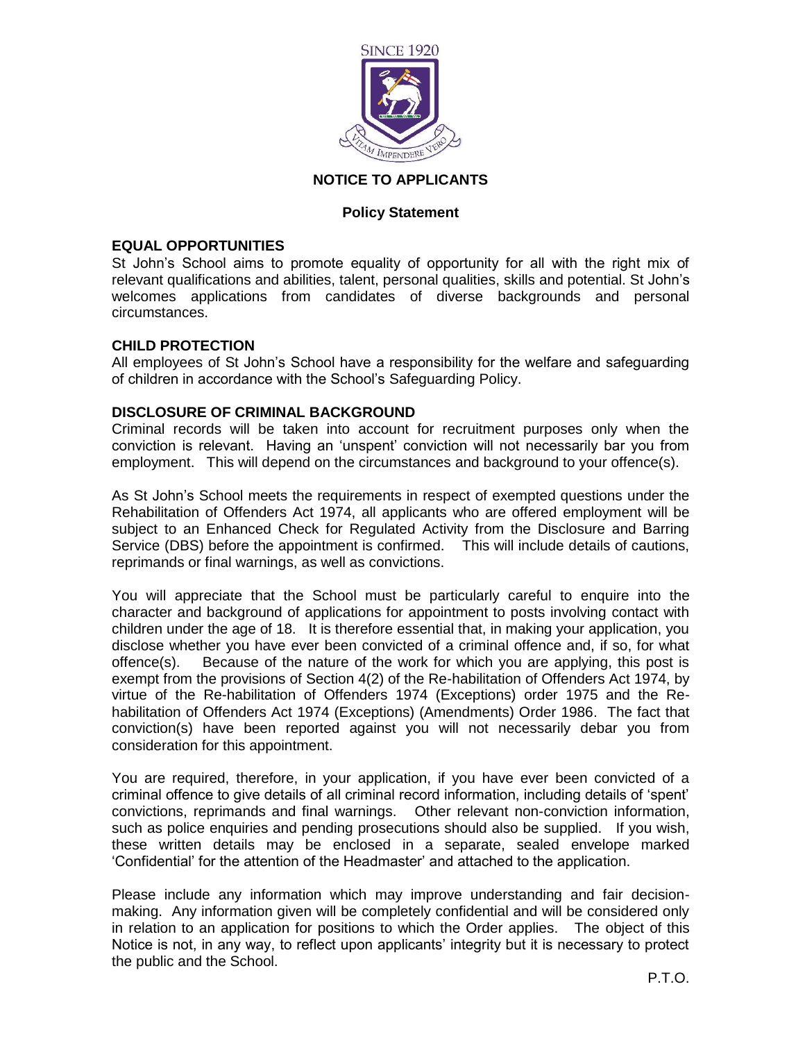

# **NOTICE TO APPLICANTS**

## **Policy Statement**

## **EQUAL OPPORTUNITIES**

St John's School aims to promote equality of opportunity for all with the right mix of relevant qualifications and abilities, talent, personal qualities, skills and potential. St John's welcomes applications from candidates of diverse backgrounds and personal circumstances.

#### **CHILD PROTECTION**

All employees of St John's School have a responsibility for the welfare and safeguarding of children in accordance with the School's Safeguarding Policy.

## **DISCLOSURE OF CRIMINAL BACKGROUND**

Criminal records will be taken into account for recruitment purposes only when the conviction is relevant. Having an 'unspent' conviction will not necessarily bar you from employment. This will depend on the circumstances and background to your offence(s).

As St John's School meets the requirements in respect of exempted questions under the Rehabilitation of Offenders Act 1974, all applicants who are offered employment will be subject to an Enhanced Check for Regulated Activity from the Disclosure and Barring Service (DBS) before the appointment is confirmed. This will include details of cautions, reprimands or final warnings, as well as convictions.

You will appreciate that the School must be particularly careful to enquire into the character and background of applications for appointment to posts involving contact with children under the age of 18. It is therefore essential that, in making your application, you disclose whether you have ever been convicted of a criminal offence and, if so, for what offence(s). Because of the nature of the work for which you are applying, this post is exempt from the provisions of Section 4(2) of the Re-habilitation of Offenders Act 1974, by virtue of the Re-habilitation of Offenders 1974 (Exceptions) order 1975 and the Rehabilitation of Offenders Act 1974 (Exceptions) (Amendments) Order 1986. The fact that conviction(s) have been reported against you will not necessarily debar you from consideration for this appointment.

You are required, therefore, in your application, if you have ever been convicted of a criminal offence to give details of all criminal record information, including details of 'spent' convictions, reprimands and final warnings. Other relevant non-conviction information, such as police enquiries and pending prosecutions should also be supplied. If you wish, these written details may be enclosed in a separate, sealed envelope marked 'Confidential' for the attention of the Headmaster' and attached to the application.

Please include any information which may improve understanding and fair decisionmaking. Any information given will be completely confidential and will be considered only in relation to an application for positions to which the Order applies. The object of this Notice is not, in any way, to reflect upon applicants' integrity but it is necessary to protect the public and the School.